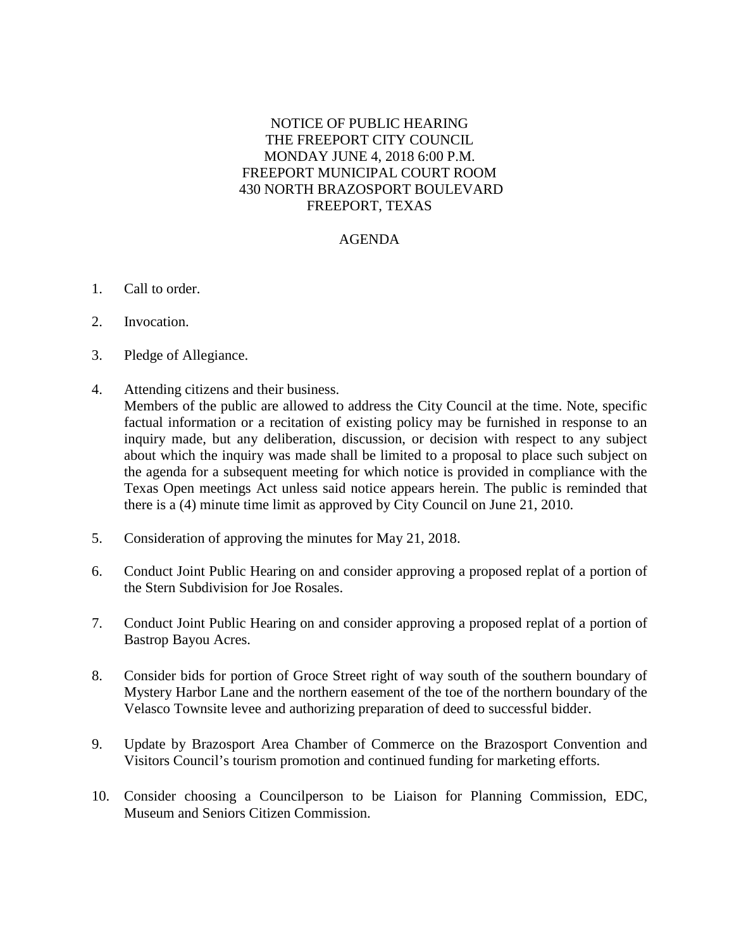## NOTICE OF PUBLIC HEARING THE FREEPORT CITY COUNCIL MONDAY JUNE 4, 2018 6:00 P.M. FREEPORT MUNICIPAL COURT ROOM 430 NORTH BRAZOSPORT BOULEVARD FREEPORT, TEXAS

## AGENDA

- 1. Call to order.
- 2. Invocation.
- 3. Pledge of Allegiance.
- 4. Attending citizens and their business. Members of the public are allowed to address the City Council at the time. Note, specific factual information or a recitation of existing policy may be furnished in response to an inquiry made, but any deliberation, discussion, or decision with respect to any subject about which the inquiry was made shall be limited to a proposal to place such subject on the agenda for a subsequent meeting for which notice is provided in compliance with the Texas Open meetings Act unless said notice appears herein. The public is reminded that there is a (4) minute time limit as approved by City Council on June 21, 2010.
- 5. Consideration of approving the minutes for May 21, 2018.
- 6. Conduct Joint Public Hearing on and consider approving a proposed replat of a portion of the Stern Subdivision for Joe Rosales.
- 7. Conduct Joint Public Hearing on and consider approving a proposed replat of a portion of Bastrop Bayou Acres.
- 8. Consider bids for portion of Groce Street right of way south of the southern boundary of Mystery Harbor Lane and the northern easement of the toe of the northern boundary of the Velasco Townsite levee and authorizing preparation of deed to successful bidder.
- 9. Update by Brazosport Area Chamber of Commerce on the Brazosport Convention and Visitors Council's tourism promotion and continued funding for marketing efforts.
- 10. Consider choosing a Councilperson to be Liaison for Planning Commission, EDC, Museum and Seniors Citizen Commission.